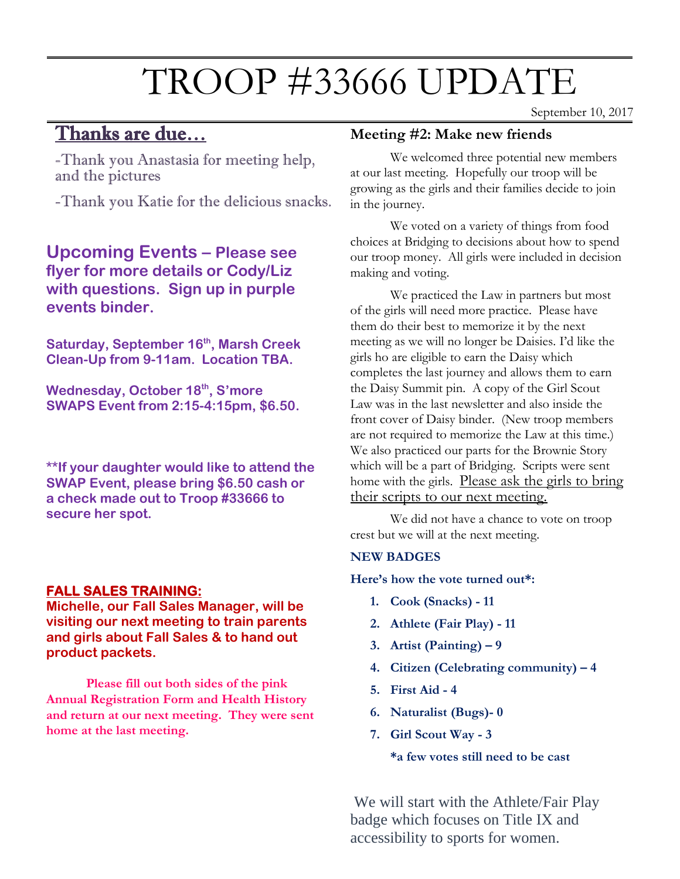# TROOP #33666 UPDATE

# Thanks are due…

September 10, 2017

-Thank you Anastasia for meeting help, and the pictures

-Thank you Katie for the delicious snacks.

**Upcoming Events – Please see flyer for more details or Cody/Liz with questions. Sign up in purple events binder.**

 $\mathcal{L}_{\text{F}}$  measure  $\mathcal{L}_{\text{F}}$  is negative for next  $\mathcal{L}_{\text{F}}$ **Saturday, September 16th, Marsh Creek Clean-Up from 9-11am. Location TBA.**

**Wednesday, October 18<sup>th</sup>, S'more SWAPS Event from 2:15-4:15pm, \$6.50.**

**\*\*If your daughter would like to attend the SWAP Event, please bring \$6.50 cash or a check made out to Troop #33666 to secure her spot.** 

#### **FALL SALES TRAINING:**

**Michelle, our Fall Sales Manager, will be visiting our next meeting to train parents and girls about Fall Sales & to hand out product packets.**

**Please fill out both sides of the pink Annual Registration Form and Health History and return at our next meeting. They were sent home at the last meeting.**

#### **Meeting #2: Make new friends**

We welcomed three potential new members at our last meeting. Hopefully our troop will be growing as the girls and their families decide to join in the journey.

We voted on a variety of things from food choices at Bridging to decisions about how to spend our troop money. All girls were included in decision making and voting.

We practiced the Law in partners but most of the girls will need more practice. Please have them do their best to memorize it by the next meeting as we will no longer be Daisies. I'd like the girls ho are eligible to earn the Daisy which completes the last journey and allows them to earn the Daisy Summit pin. A copy of the Girl Scout Law was in the last newsletter and also inside the front cover of Daisy binder. (New troop members are not required to memorize the Law at this time.) We also practiced our parts for the Brownie Story which will be a part of Bridging. Scripts were sent home with the girls. Please ask the girls to bring their scripts to our next meeting.

We did not have a chance to vote on troop crest but we will at the next meeting.

#### **NEW BADGES**

**Here's how the vote turned out\*:**

- **1. Cook (Snacks) - 11**
- **2. Athlete (Fair Play) - 11**
- **3. Artist (Painting) – 9**
- **4. Citizen (Celebrating community) – 4**
- **5. First Aid - 4**
- **6. Naturalist (Bugs)- 0**
- **7. Girl Scout Way - 3**

**\*a few votes still need to be cast**

We will start with the Athlete/Fair Play badge which focuses on Title IX and accessibility to sports for women.